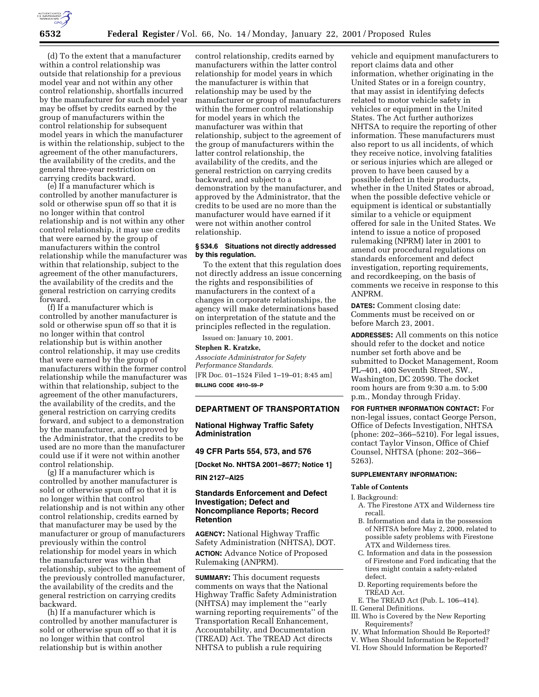

(d) To the extent that a manufacturer within a control relationship was outside that relationship for a previous model year and not within any other control relationship, shortfalls incurred by the manufacturer for such model year may be offset by credits earned by the group of manufacturers within the control relationship for subsequent model years in which the manufacturer is within the relationship, subject to the agreement of the other manufacturers, the availability of the credits, and the general three-year restriction on carrying credits backward.

(e) If a manufacturer which is controlled by another manufacturer is sold or otherwise spun off so that it is no longer within that control relationship and is not within any other control relationship, it may use credits that were earned by the group of manufacturers within the control relationship while the manufacturer was within that relationship, subject to the agreement of the other manufacturers, the availability of the credits and the general restriction on carrying credits forward.

(f) If a manufacturer which is controlled by another manufacturer is sold or otherwise spun off so that it is no longer within that control relationship but is within another control relationship, it may use credits that were earned by the group of manufacturers within the former control relationship while the manufacturer was within that relationship, subject to the agreement of the other manufacturers, the availability of the credits, and the general restriction on carrying credits forward, and subject to a demonstration by the manufacturer, and approved by the Administrator, that the credits to be used are no more than the manufacturer could use if it were not within another control relationship.

(g) If a manufacturer which is controlled by another manufacturer is sold or otherwise spun off so that it is no longer within that control relationship and is not within any other control relationship, credits earned by that manufacturer may be used by the manufacturer or group of manufacturers previously within the control relationship for model years in which the manufacturer was within that relationship, subject to the agreement of the previously controlled manufacturer, the availability of the credits and the general restriction on carrying credits backward.

(h) If a manufacturer which is controlled by another manufacturer is sold or otherwise spun off so that it is no longer within that control relationship but is within another

control relationship, credits earned by manufacturers within the latter control relationship for model years in which the manufacturer is within that relationship may be used by the manufacturer or group of manufacturers within the former control relationship for model years in which the manufacturer was within that relationship, subject to the agreement of the group of manufacturers within the latter control relationship, the availability of the credits, and the general restriction on carrying credits backward, and subject to a demonstration by the manufacturer, and approved by the Administrator, that the credits to be used are no more than the manufacturer would have earned if it were not within another control relationship.

### **§ 534.6 Situations not directly addressed by this regulation.**

To the extent that this regulation does not directly address an issue concerning the rights and responsibilities of manufacturers in the context of a changes in corporate relationships, the agency will make determinations based on interpretation of the statute and the principles reflected in the regulation.

Issued on: January 10, 2001.

#### **Stephen R. Kratzke,**

*Associate Administrator for Safety Performance Standards.* [FR Doc. 01–1524 Filed 1–19–01; 8:45 am] **BILLING CODE 4910–59–P**

#### **DEPARTMENT OF TRANSPORTATION**

# **National Highway Traffic Safety Administration**

**49 CFR Parts 554, 573, and 576**

**[Docket No. NHTSA 2001–8677; Notice 1]**

**RIN 2127–AI25**

### **Standards Enforcement and Defect Investigation; Defect and Noncompliance Reports; Record Retention**

**AGENCY:** National Highway Traffic Safety Administration (NHTSA), DOT. **ACTION:** Advance Notice of Proposed Rulemaking (ANPRM).

**SUMMARY:** This document requests comments on ways that the National Highway Traffic Safety Administration (NHTSA) may implement the ''early warning reporting requirements'' of the Transportation Recall Enhancement, Accountability, and Documentation (TREAD) Act. The TREAD Act directs NHTSA to publish a rule requiring

vehicle and equipment manufacturers to report claims data and other information, whether originating in the United States or in a foreign country, that may assist in identifying defects related to motor vehicle safety in vehicles or equipment in the United States. The Act further authorizes NHTSA to require the reporting of other information. These manufacturers must also report to us all incidents, of which they receive notice, involving fatalities or serious injuries which are alleged or proven to have been caused by a possible defect in their products, whether in the United States or abroad, when the possible defective vehicle or equipment is identical or substantially similar to a vehicle or equipment offered for sale in the United States. We intend to issue a notice of proposed rulemaking (NPRM) later in 2001 to amend our procedural regulations on standards enforcement and defect investigation, reporting requirements, and recordkeeping, on the basis of comments we receive in response to this ANPRM.

**DATES:** Comment closing date: Comments must be received on or before March 23, 2001.

**ADDRESSES:** All comments on this notice should refer to the docket and notice number set forth above and be submitted to Docket Management, Room PL–401, 400 Seventh Street, SW., Washington, DC 20590. The docket room hours are from 9:30 a.m. to 5:00 p.m., Monday through Friday.

**FOR FURTHER INFORMATION CONTACT:** For non-legal issues, contact George Person, Office of Defects Investigation, NHTSA (phone: 202–366–5210). For legal issues, contact Taylor Vinson, Office of Chief Counsel, NHTSA (phone: 202–366– 5263).

## **SUPPLEMENTARY INFORMATION:**

#### **Table of Contents**

#### I. Background:

- A. The Firestone ATX and Wilderness tire recall.
- B. Information and data in the possession of NHTSA before May 2, 2000, related to possible safety problems with Firestone ATX and Wilderness tires.
- C. Information and data in the possession of Firestone and Ford indicating that the tires might contain a safety-related defect.
- D. Reporting requirements before the TREAD Act.
- E. The TREAD Act (Pub. L. 106–414).
- II. General Definitions.
- III. Who is Covered by the New Reporting Requirements?
- IV. What Information Should Be Reported?
- V. When Should Information be Reported?
- VI. How Should Information be Reported?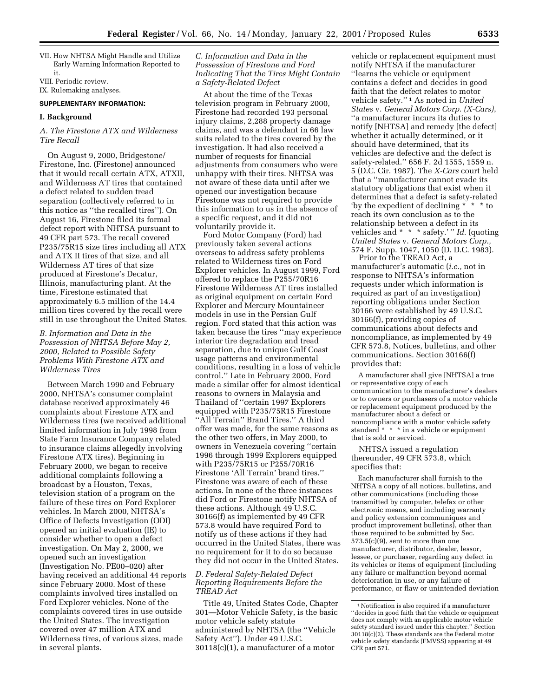VII. How NHTSA Might Handle and Utilize Early Warning Information Reported to it. VIII. Periodic review.

# IX. Rulemaking analyses.

### **SUPPLEMENTARY INFORMATION:**

#### **I. Background**

# *A. The Firestone ATX and Wilderness Tire Recall*

On August 9, 2000, Bridgestone/ Firestone, Inc. (Firestone) announced that it would recall certain ATX, ATXII, and Wilderness AT tires that contained a defect related to sudden tread separation (collectively referred to in this notice as ''the recalled tires''). On August 16, Firestone filed its formal defect report with NHTSA pursuant to 49 CFR part 573. The recall covered P235/75R15 size tires including all ATX and ATX II tires of that size, and all Wilderness AT tires of that size produced at Firestone's Decatur, Illinois, manufacturing plant. At the time, Firestone estimated that approximately 6.5 million of the 14.4 million tires covered by the recall were still in use throughout the United States.

## *B. Information and Data in the Possession of NHTSA Before May 2, 2000, Related to Possible Safety Problems With Firestone ATX and Wilderness Tires*

Between March 1990 and February 2000, NHTSA's consumer complaint database received approximately 46 complaints about Firestone ATX and Wilderness tires (we received additional limited information in July 1998 from State Farm Insurance Company related to insurance claims allegedly involving Firestone ATX tires). Beginning in February 2000, we began to receive additional complaints following a broadcast by a Houston, Texas, television station of a program on the failure of these tires on Ford Explorer vehicles. In March 2000, NHTSA's Office of Defects Investigation (ODI) opened an initial evaluation (IE) to consider whether to open a defect investigation. On May 2, 2000, we opened such an investigation (Investigation No. PE00–020) after having received an additional 44 reports since February 2000. Most of these complaints involved tires installed on Ford Explorer vehicles. None of the complaints covered tires in use outside the United States. The investigation covered over 47 million ATX and Wilderness tires, of various sizes, made in several plants.

### *C. Information and Data in the Possession of Firestone and Ford Indicating That the Tires Might Contain a Safety-Related Defect*

At about the time of the Texas television program in February 2000, Firestone had recorded 193 personal injury claims, 2,288 property damage claims, and was a defendant in 66 law suits related to the tires covered by the investigation. It had also received a number of requests for financial adjustments from consumers who were unhappy with their tires. NHTSA was not aware of these data until after we opened our investigation because Firestone was not required to provide this information to us in the absence of a specific request, and it did not voluntarily provide it.

Ford Motor Company (Ford) had previously taken several actions overseas to address safety problems related to Wilderness tires on Ford Explorer vehicles. In August 1999, Ford offered to replace the P255/70R16 Firestone Wilderness AT tires installed as original equipment on certain Ford Explorer and Mercury Mountaineer models in use in the Persian Gulf region. Ford stated that this action was taken because the tires ''may experience interior tire degradation and tread separation, due to unique Gulf Coast usage patterns and environmental conditions, resulting in a loss of vehicle control.'' Late in February 2000, Ford made a similar offer for almost identical reasons to owners in Malaysia and Thailand of ''certain 1997 Explorers equipped with P235/75R15 Firestone ''All Terrain'' Brand Tires.'' A third offer was made, for the same reasons as the other two offers, in May 2000, to owners in Venezuela covering ''certain 1996 through 1999 Explorers equipped with P235/75R15 or P255/70R16 Firestone 'All Terrain' brand tires.'' Firestone was aware of each of these actions. In none of the three instances did Ford or Firestone notify NHTSA of these actions. Although 49 U.S.C. 30166(f) as implemented by 49 CFR 573.8 would have required Ford to notify us of these actions if they had occurred in the United States, there was no requirement for it to do so because they did not occur in the United States.

### *D. Federal Safety-Related Defect Reporting Requirements Before the TREAD Act*

Title 49, United States Code, Chapter 301—Motor Vehicle Safety, is the basic motor vehicle safety statute administered by NHTSA (the ''Vehicle Safety Act''). Under 49 U.S.C. 30118(c)(1), a manufacturer of a motor

vehicle or replacement equipment must notify NHTSA if the manufacturer ''learns the vehicle or equipment contains a defect and decides in good faith that the defect relates to motor vehicle safety.'' 1 As noted in *United States* v. *General Motors Corp. (X-Cars)*, ''a manufacturer incurs its duties to notify [NHTSA] and remedy [the defect] whether it actually determined, or it should have determined, that its vehicles are defective and the defect is safety-related.'' 656 F. 2d 1555, 1559 n. 5 (D.C. Cir. 1987). The *X-Cars* court held that a ''manufacturer cannot evade its statutory obligations that exist when it determines that a defect is safety-related 'by the expedient of declining \* \* \* to reach its own conclusion as to the relationship between a defect in its vehicles and \* \* \* safety.'" *Id.* (quoting *United States* v. *General Motors Corp.,* 574 F. Supp. 1047, 1050 (D. D.C. 1983).

Prior to the TREAD Act, a manufacturer's automatic (*i.e.,* not in response to NHTSA's information requests under which information is required as part of an investigation) reporting obligations under Section 30166 were established by 49 U.S.C. 30166(f), providing copies of communications about defects and noncompliance, as implemented by 49 CFR 573.8, Notices, bulletins, and other communications. Section 30166(f) provides that:

A manufacturer shall give [NHTSA] a true or representative copy of each communication to the manufacturer's dealers or to owners or purchasers of a motor vehicle or replacement equipment produced by the manufacturer about a defect or noncompliance with a motor vehicle safety standard \* \* \* in a vehicle or equipment that is sold or serviced.

NHTSA issued a regulation thereunder, 49 CFR 573.8, which specifies that:

Each manufacturer shall furnish to the NHTSA a copy of all notices, bulletins, and other communications (including those transmitted by computer, telefax or other electronic means, and including warranty and policy extension communiques and product improvement bulletins), other than those required to be submitted by Sec.  $573.5(c)(9)$ , sent to more than one manufacturer, distributor, dealer, lessor, lessee, or purchaser, regarding any defect in its vehicles or items of equipment (including any failure or malfunction beyond normal deterioration in use, or any failure of performance, or flaw or unintended deviation

<sup>1</sup>Notification is also required if a manufacturer ''decides in good faith that the vehicle or equipment does not comply with an applicable motor vehicle safety standard issued under this chapter.'' Section 30118(c)(2). These standards are the Federal motor vehicle safety standards (FMVSS) appearing at 49 CFR part 571.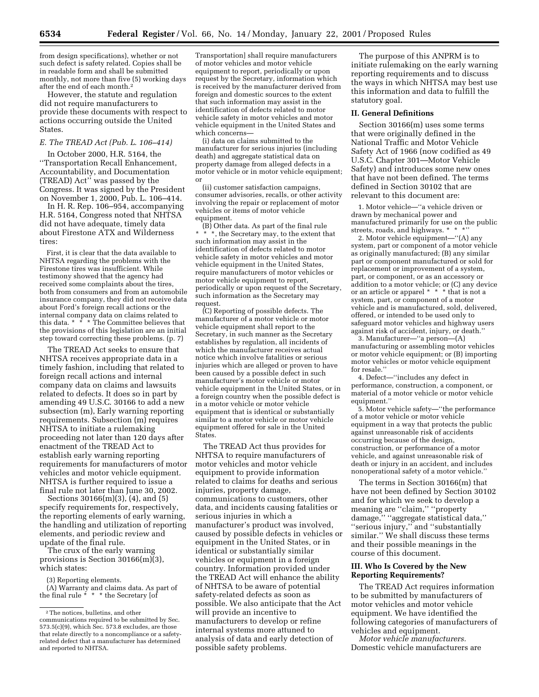from design specifications), whether or not such defect is safety related. Copies shall be in readable form and shall be submitted monthly, not more than five (5) working days after the end of each month.2

However, the statute and regulation did not require manufacturers to provide these documents with respect to actions occurring outside the United States.

### *E. The TREAD Act (Pub. L. 106–414)*

In October 2000, H.R. 5164, the ''Transportation Recall Enhancement, Accountability, and Documentation (TREAD) Act'' was passed by the Congress. It was signed by the President on November 1, 2000, Pub. L. 106–414.

In H. R. Rep. 106–954, accompanying H.R. 5164, Congress noted that NHTSA did not have adequate, timely data about Firestone ATX and Wilderness tires:

First, it is clear that the data available to NHTSA regarding the problems with the Firestone tires was insufficient. While testimony showed that the agency had received some complaints about the tires, both from consumers and from an automobile insurance company, they did not receive data about Ford's foreign recall actions or the internal company data on claims related to this data.  $* \cdot \cdot \cdot$  The Committee believes that the provisions of this legislation are an initial step toward correcting these problems. (p. 7)

The TREAD Act seeks to ensure that NHTSA receives appropriate data in a timely fashion, including that related to foreign recall actions and internal company data on claims and lawsuits related to defects. It does so in part by amending 49 U.S.C. 30166 to add a new subsection (m), Early warning reporting requirements. Subsection (m) requires NHTSA to initiate a rulemaking proceeding not later than 120 days after enactment of the TREAD Act to establish early warning reporting requirements for manufacturers of motor vehicles and motor vehicle equipment. NHTSA is further required to issue a final rule not later than June 30, 2002.

Sections 30166(m)(3), (4), and (5) specify requirements for, respectively, the reporting elements of early warning, the handling and utilization of reporting elements, and periodic review and update of the final rule.

The crux of the early warning provisions is Section 30166(m)(3), which states:

(3) Reporting elements.

(A) Warranty and claims data. As part of the final rule \* \* \* the Secretary [of

Transportation] shall require manufacturers of motor vehicles and motor vehicle equipment to report, periodically or upon request by the Secretary, information which is received by the manufacturer derived from foreign and domestic sources to the extent that such information may assist in the identification of defects related to motor vehicle safety in motor vehicles and motor vehicle equipment in the United States and which concerns—

(i) data on claims submitted to the manufacturer for serious injuries (including death) and aggregate statistical data on property damage from alleged defects in a motor vehicle or in motor vehicle equipment; or

(ii) customer satisfaction campaigns, consumer advisories, recalls, or other activity involving the repair or replacement of motor vehicles or items of motor vehicle equipment.

(B) Other data. As part of the final rule  $*$   $*$   $*$ , the Secretary may, to the extent that such information may assist in the identification of defects related to motor vehicle safety in motor vehicles and motor vehicle equipment in the United States, require manufacturers of motor vehicles or motor vehicle equipment to report, periodically or upon request of the Secretary, such information as the Secretary may request.

(C) Reporting of possible defects. The manufacturer of a motor vehicle or motor vehicle equipment shall report to the Secretary, in such manner as the Secretary establishes by regulation, all incidents of which the manufacturer receives actual notice which involve fatalities or serious injuries which are alleged or proven to have been caused by a possible defect in such manufacturer's motor vehicle or motor vehicle equipment in the United States, or in a foreign country when the possible defect is in a motor vehicle or motor vehicle equipment that is identical or substantially similar to a motor vehicle or motor vehicle equipment offered for sale in the United States.

The TREAD Act thus provides for NHTSA to require manufacturers of motor vehicles and motor vehicle equipment to provide information related to claims for deaths and serious injuries, property damage, communications to customers, other data, and incidents causing fatalities or serious injuries in which a manufacturer's product was involved, caused by possible defects in vehicles or equipment in the United States, or in identical or substantially similar vehicles or equipment in a foreign country. Information provided under the TREAD Act will enhance the ability of NHTSA to be aware of potential safety-related defects as soon as possible. We also anticipate that the Act will provide an incentive to manufacturers to develop or refine internal systems more attuned to analysis of data and early detection of possible safety problems.

The purpose of this ANPRM is to initiate rulemaking on the early warning reporting requirements and to discuss the ways in which NHTSA may best use this information and data to fulfill the statutory goal.

### **II. General Definitions**

Section 30166(m) uses some terms that were originally defined in the National Traffic and Motor Vehicle Safety Act of 1966 (now codified as 49 U.S.C. Chapter 301—Motor Vehicle Safety) and introduces some new ones that have not been defined. The terms defined in Section 30102 that are relevant to this document are:

1. Motor vehicle—''a vehicle driven or drawn by mechanical power and manufactured primarily for use on the public streets, roads, and highways. \* \*

2. Motor vehicle equipment—''(A) any system, part or component of a motor vehicle as originally manufactured; (B) any similar part or component manufactured or sold for replacement or improvement of a system, part, or component, or as an accessory or addition to a motor vehicle; or (C) any device or an article or apparel \* \* \* that is not a system, part, or component of a motor vehicle and is manufactured, sold, delivered, offered, or intended to be used only to safeguard motor vehicles and highway users against risk of accident, injury, or death.''

3. Manufacturer—''a person—(A) manufacturing or assembling motor vehicles or motor vehicle equipment; or (B) importing motor vehicles or motor vehicle equipment for resale.''

4. Defect—''includes any defect in performance, construction, a component, or material of a motor vehicle or motor vehicle equipment.''

5. Motor vehicle safety—''the performance of a motor vehicle or motor vehicle equipment in a way that protects the public against unreasonable risk of accidents occurring because of the design, construction, or performance of a motor vehicle, and against unreasonable risk of death or injury in an accident, and includes nonoperational safety of a motor vehicle.''

The terms in Section 30166(m) that have not been defined by Section 30102 and for which we seek to develop a meaning are ''claim,'' ''property damage,'' ''aggregate statistical data,'' ''serious injury,'' and ''substantially similar.'' We shall discuss these terms and their possible meanings in the course of this document.

### **III. Who Is Covered by the New Reporting Requirements?**

The TREAD Act requires information to be submitted by manufacturers of motor vehicles and motor vehicle equipment. We have identified the following categories of manufacturers of vehicles and equipment.

*Motor vehicle manufacturers.* Domestic vehicle manufacturers are

<sup>2</sup>The notices, bulletins, and other communications required to be submitted by Sec.  $573.5(c)(9)$ , which Sec.  $573.8$  excludes, are those that relate directly to a noncompliance or a safetyrelated defect that a manufacturer has determined and reported to NHTSA.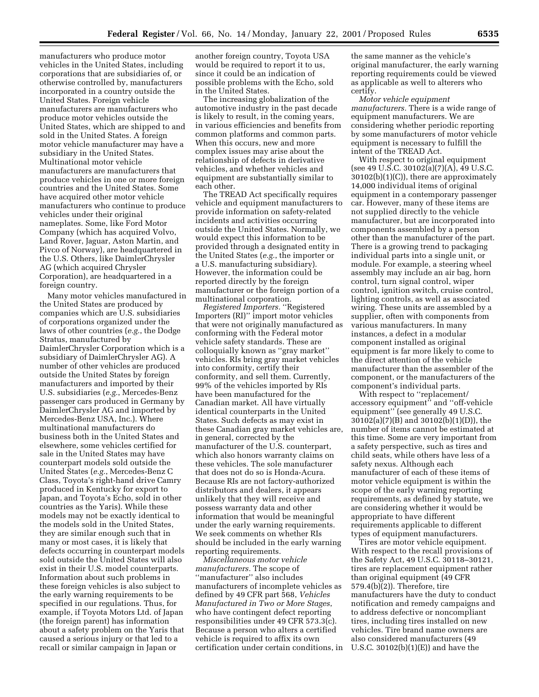manufacturers who produce motor vehicles in the United States, including corporations that are subsidiaries of, or otherwise controlled by, manufacturers incorporated in a country outside the United States. Foreign vehicle manufacturers are manufacturers who produce motor vehicles outside the United States, which are shipped to and sold in the United States. A foreign motor vehicle manufacturer may have a subsidiary in the United States. Multinational motor vehicle manufacturers are manufacturers that produce vehicles in one or more foreign countries and the United States. Some have acquired other motor vehicle manufacturers who continue to produce vehicles under their original nameplates. Some, like Ford Motor Company (which has acquired Volvo, Land Rover, Jaguar, Aston Martin, and Pivco of Norway), are headquartered in the U.S. Others, like DaimlerChrysler AG (which acquired Chrysler Corporation), are headquartered in a foreign country.

Many motor vehicles manufactured in the United States are produced by companies which are U.S. subsidiaries of corporations organized under the laws of other countries (*e.g.*, the Dodge Stratus, manufactured by DaimlerChrysler Corporation which is a subsidiary of DaimlerChrysler AG). A number of other vehicles are produced outside the United States by foreign manufacturers and imported by their U.S. subsidiaries (*e.g.*, Mercedes-Benz passenger cars produced in Germany by DaimlerChrysler AG and imported by Mercedes-Benz USA, Inc.). Where multinational manufacturers do business both in the United States and elsewhere, some vehicles certified for sale in the United States may have counterpart models sold outside the United States (*e.g.*, Mercedes-Benz C Class, Toyota's right-hand drive Camry produced in Kentucky for export to Japan, and Toyota's Echo, sold in other countries as the Yaris). While these models may not be exactly identical to the models sold in the United States, they are similar enough such that in many or most cases, it is likely that defects occurring in counterpart models sold outside the United States will also exist in their U.S. model counterparts. Information about such problems in these foreign vehicles is also subject to the early warning requirements to be specified in our regulations. Thus, for example, if Toyota Motors Ltd. of Japan (the foreign parent) has information about a safety problem on the Yaris that caused a serious injury or that led to a recall or similar campaign in Japan or

another foreign country, Toyota USA would be required to report it to us, since it could be an indication of possible problems with the Echo, sold in the United States.

The increasing globalization of the automotive industry in the past decade is likely to result, in the coming years, in various efficiencies and benefits from common platforms and common parts. When this occurs, new and more complex issues may arise about the relationship of defects in derivative vehicles, and whether vehicles and equipment are substantially similar to each other.

The TREAD Act specifically requires vehicle and equipment manufacturers to provide information on safety-related incidents and activities occurring outside the United States. Normally, we would expect this information to be provided through a designated entity in the United States (*e.g.*, the importer or a U.S. manufacturing subsidiary). However, the information could be reported directly by the foreign manufacturer or the foreign portion of a multinational corporation.

*Registered Importers.* ''Registered Importers (RI)'' import motor vehicles that were not originally manufactured as conforming with the Federal motor vehicle safety standards. These are colloquially known as ''gray market'' vehicles. RIs bring gray market vehicles into conformity, certify their conformity, and sell them. Currently, 99% of the vehicles imported by RIs have been manufactured for the Canadian market. All have virtually identical counterparts in the United States. Such defects as may exist in these Canadian gray market vehicles are, in general, corrected by the manufacturer of the U.S. counterpart, which also honors warranty claims on these vehicles. The sole manufacturer that does not do so is Honda-Acura. Because RIs are not factory-authorized distributors and dealers, it appears unlikely that they will receive and possess warranty data and other information that would be meaningful under the early warning requirements. We seek comments on whether RIs should be included in the early warning reporting requirements.

*Miscellaneous motor vehicle manufacturers.* The scope of ''manufacturer'' also includes manufacturers of incomplete vehicles as defined by 49 CFR part 568, *Vehicles Manufactured in Two or More Stages*, who have contingent defect reporting responsibilities under 49 CFR 573.3(c). Because a person who alters a certified vehicle is required to affix its own certification under certain conditions, in the same manner as the vehicle's original manufacturer, the early warning reporting requirements could be viewed as applicable as well to alterers who certify.

*Motor vehicle equipment manufacturers.* There is a wide range of equipment manufacturers. We are considering whether periodic reporting by some manufacturers of motor vehicle equipment is necessary to fulfill the intent of the TREAD Act.

With respect to original equipment (see 49 U.S.C. 30102(a)(7)(A), 49 U.S.C. 30102(b)(1)(C)), there are approximately 14,000 individual items of original equipment in a contemporary passenger car. However, many of these items are not supplied directly to the vehicle manufacturer, but are incorporated into components assembled by a person other than the manufacturer of the part. There is a growing trend to packaging individual parts into a single unit, or module. For example, a steering wheel assembly may include an air bag, horn control, turn signal control, wiper control, ignition switch, cruise control, lighting controls, as well as associated wiring. These units are assembled by a supplier, often with components from various manufacturers. In many instances, a defect in a modular component installed as original equipment is far more likely to come to the direct attention of the vehicle manufacturer than the assembler of the component, or the manufacturers of the component's individual parts.

With respect to ''replacement/ accessory equipment'' and ''off-vehicle equipment'' (see generally 49 U.S.C. 30102(a)(7)(B) and 30102(b)(1)(D)), the number of items cannot be estimated at this time. Some are very important from a safety perspective, such as tires and child seats, while others have less of a safety nexus. Although each manufacturer of each of these items of motor vehicle equipment is within the scope of the early warning reporting requirements, as defined by statute, we are considering whether it would be appropriate to have different requirements applicable to different types of equipment manufacturers.

Tires are motor vehicle equipment. With respect to the recall provisions of the Safety Act, 49 U.S.C. 30118–30121, tires are replacement equipment rather than original equipment (49 CFR 579.4(b)(2)). Therefore, tire manufacturers have the duty to conduct notification and remedy campaigns and to address defective or noncompliant tires, including tires installed on new vehicles. Tire brand name owners are also considered manufacturers (49 U.S.C. 30102(b)(1)(E)) and have the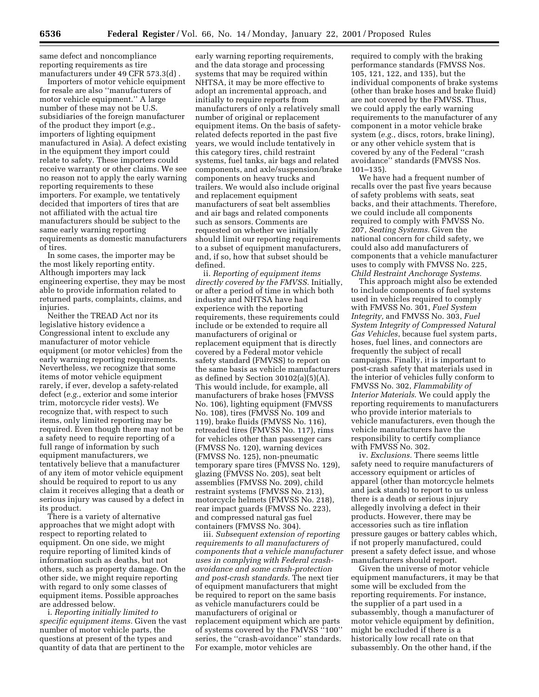same defect and noncompliance reporting requirements as tire manufacturers under 49 CFR 573.3(d) .

Importers of motor vehicle equipment for resale are also ''manufacturers of motor vehicle equipment.'' A large number of these may not be U.S. subsidiaries of the foreign manufacturer of the product they import (*e.g.*, importers of lighting equipment manufactured in Asia). A defect existing in the equipment they import could relate to safety. These importers could receive warranty or other claims. We see no reason not to apply the early warning reporting requirements to these importers. For example, we tentatively decided that importers of tires that are not affiliated with the actual tire manufacturers should be subject to the same early warning reporting requirements as domestic manufacturers of tires.

In some cases, the importer may be the most likely reporting entity. Although importers may lack engineering expertise, they may be most able to provide information related to returned parts, complaints, claims, and injuries.

Neither the TREAD Act nor its legislative history evidence a Congressional intent to exclude any manufacturer of motor vehicle equipment (or motor vehicles) from the early warning reporting requirements. Nevertheless, we recognize that some items of motor vehicle equipment rarely, if ever, develop a safety-related defect (*e.g.*, exterior and some interior trim, motorcycle rider vests). We recognize that, with respect to such items, only limited reporting may be required. Even though there may not be a safety need to require reporting of a full range of information by such equipment manufacturers, we tentatively believe that a manufacturer of any item of motor vehicle equipment should be required to report to us any claim it receives alleging that a death or serious injury was caused by a defect in its product.

There is a variety of alternative approaches that we might adopt with respect to reporting related to equipment. On one side, we might require reporting of limited kinds of information such as deaths, but not others, such as property damage. On the other side, we might require reporting with regard to only some classes of equipment items. Possible approaches are addressed below.

i. *Reporting initially limited to specific equipment items.* Given the vast number of motor vehicle parts, the questions at present of the types and quantity of data that are pertinent to the

early warning reporting requirements, and the data storage and processing systems that may be required within NHTSA, it may be more effective to adopt an incremental approach, and initially to require reports from manufacturers of only a relatively small number of original or replacement equipment items. On the basis of safetyrelated defects reported in the past five years, we would include tentatively in this category tires, child restraint systems, fuel tanks, air bags and related components, and axle/suspension/brake components on heavy trucks and trailers. We would also include original and replacement equipment manufacturers of seat belt assemblies and air bags and related components such as sensors. Comments are requested on whether we initially should limit our reporting requirements to a subset of equipment manufacturers, and, if so, how that subset should be defined.

ii. *Reporting of equipment items directly covered by the FMVSS.* Initially, or after a period of time in which both industry and NHTSA have had experience with the reporting requirements, these requirements could include or be extended to require all manufacturers of original or replacement equipment that is directly covered by a Federal motor vehicle safety standard (FMVSS) to report on the same basis as vehicle manufacturers as defined by Section  $30102(a)(5)(A)$ . This would include, for example, all manufacturers of brake hoses (FMVSS No. 106), lighting equipment (FMVSS No. 108), tires (FMVSS No. 109 and 119), brake fluids (FMVSS No. 116), retreaded tires (FMVSS No. 117), rims for vehicles other than passenger cars (FMVSS No. 120), warning devices (FMVSS No. 125), non-pneumatic temporary spare tires (FMVSS No. 129), glazing (FMVSS No. 205), seat belt assemblies (FMVSS No. 209), child restraint systems (FMVSS No. 213), motorcycle helmets (FMVSS No. 218), rear impact guards (FMVSS No. 223), and compressed natural gas fuel containers (FMVSS No. 304).

iii. *Subsequent extension of reporting requirements to all manufacturers of components that a vehicle manufacturer uses in complying with Federal crashavoidance and some crash-protection and post-crash standards.* The next tier of equipment manufacturers that might be required to report on the same basis as vehicle manufacturers could be manufacturers of original or replacement equipment which are parts of systems covered by the FMVSS "100" series, the ''crash-avoidance'' standards. For example, motor vehicles are

required to comply with the braking performance standards (FMVSS Nos. 105, 121, 122, and 135), but the individual components of brake systems (other than brake hoses and brake fluid) are not covered by the FMVSS. Thus, we could apply the early warning requirements to the manufacturer of any component in a motor vehicle brake system (*e.g.*, discs, rotors, brake lining), or any other vehicle system that is covered by any of the Federal ''crash avoidance'' standards (FMVSS Nos. 101–135).

We have had a frequent number of recalls over the past five years because of safety problems with seats, seat backs, and their attachments. Therefore, we could include all components required to comply with FMVSS No. 207, *Seating Systems.* Given the national concern for child safety, we could also add manufacturers of components that a vehicle manufacturer uses to comply with FMVSS No. 225, *Child Restraint Anchorage Systems.*

This approach might also be extended to include components of fuel systems used in vehicles required to comply with FMVSS No. 301, *Fuel System Integrity,* and FMVSS No. 303, *Fuel System Integrity of Compressed Natural Gas Vehicles*, because fuel system parts, hoses, fuel lines, and connectors are frequently the subject of recall campaigns. Finally, it is important to post-crash safety that materials used in the interior of vehicles fully conform to FMVSS No. 302, *Flammability of Interior Materials*. We could apply the reporting requirements to manufacturers who provide interior materials to vehicle manufacturers, even though the vehicle manufacturers have the responsibility to certify compliance with FMVSS No. 302.

iv. *Exclusions.* There seems little safety need to require manufacturers of accessory equipment or articles of apparel (other than motorcycle helmets and jack stands) to report to us unless there is a death or serious injury allegedly involving a defect in their products. However, there may be accessories such as tire inflation pressure gauges or battery cables which, if not properly manufactured, could present a safety defect issue, and whose manufacturers should report.

Given the universe of motor vehicle equipment manufacturers, it may be that some will be excluded from the reporting requirements. For instance, the supplier of a part used in a subassembly, though a manufacturer of motor vehicle equipment by definition, might be excluded if there is a historically low recall rate on that subassembly. On the other hand, if the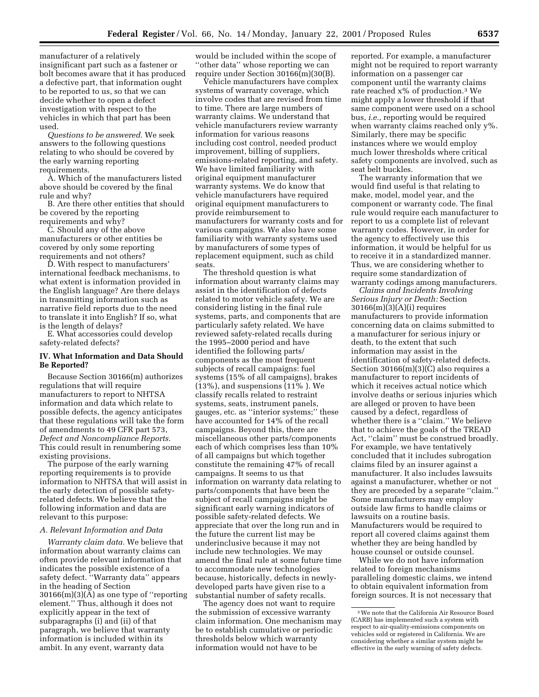manufacturer of a relatively insignificant part such as a fastener or bolt becomes aware that it has produced a defective part, that information ought to be reported to us, so that we can decide whether to open a defect investigation with respect to the vehicles in which that part has been used.

*Questions to be answered.* We seek answers to the following questions relating to who should be covered by the early warning reporting requirements.

A. Which of the manufacturers listed above should be covered by the final rule and why?

B. Are there other entities that should be covered by the reporting requirements and why?

C. Should any of the above manufacturers or other entities be covered by only some reporting requirements and not others?

D. With respect to manufacturers' international feedback mechanisms, to what extent is information provided in the English language? Are there delays in transmitting information such as narrative field reports due to the need to translate it into English? If so, what is the length of delays?

E. What accessories could develop safety-related defects?

### **IV. What Information and Data Should Be Reported?**

Because Section 30166(m) authorizes regulations that will require manufacturers to report to NHTSA information and data which relate to possible defects, the agency anticipates that these regulations will take the form of amendments to 49 CFR part 573, *Defect and Noncompliance Reports.* This could result in renumbering some existing provisions.

The purpose of the early warning reporting requirements is to provide information to NHTSA that will assist in the early detection of possible safetyrelated defects. We believe that the following information and data are relevant to this purpose:

#### *A. Relevant Information and Data*

*Warranty claim data.* We believe that information about warranty claims can often provide relevant information that indicates the possible existence of a safety defect. ''Warranty data'' appears in the heading of Section  $30166(m)(3)(\overline{A})$  as one type of "reporting" element.'' Thus, although it does not explicitly appear in the text of subparagraphs (i) and (ii) of that paragraph, we believe that warranty information is included within its ambit. In any event, warranty data

would be included within the scope of ''other data'' whose reporting we can require under Section 30166(m)(30(B).

Vehicle manufacturers have complex systems of warranty coverage, which involve codes that are revised from time to time. There are large numbers of warranty claims. We understand that vehicle manufacturers review warranty information for various reasons including cost control, needed product improvement, billing of suppliers, emissions-related reporting, and safety. We have limited familiarity with original equipment manufacturer warranty systems. We do know that vehicle manufacturers have required original equipment manufacturers to provide reimbursement to manufacturers for warranty costs and for various campaigns. We also have some familiarity with warranty systems used by manufacturers of some types of replacement equipment, such as child seats.

The threshold question is what information about warranty claims may assist in the identification of defects related to motor vehicle safety. We are considering listing in the final rule systems, parts, and components that are particularly safety related. We have reviewed safety-related recalls during the 1995–2000 period and have identified the following parts/ components as the most frequent subjects of recall campaigns: fuel systems (15% of all campaigns), brakes (13%), and suspensions (11% ). We classify recalls related to restraint systems, seats, instrument panels, gauges, etc. as ''interior systems;'' these have accounted for 14% of the recall campaigns. Beyond this, there are miscellaneous other parts/components each of which comprises less than 10% of all campaigns but which together constitute the remaining 47% of recall campaigns. It seems to us that information on warranty data relating to parts/components that have been the subject of recall campaigns might be significant early warning indicators of possible safety-related defects. We appreciate that over the long run and in the future the current list may be underinclusive because it may not include new technologies. We may amend the final rule at some future time to accommodate new technologies because, historically, defects in newlydeveloped parts have given rise to a substantial number of safety recalls.

The agency does not want to require the submission of excessive warranty claim information. One mechanism may be to establish cumulative or periodic thresholds below which warranty information would not have to be

reported. For example, a manufacturer might not be required to report warranty information on a passenger car component until the warranty claims rate reached x% of production.3 We might apply a lower threshold if that same component were used on a school bus, *i.e.,* reporting would be required when warranty claims reached only y%. Similarly, there may be specific instances where we would employ much lower thresholds where critical safety components are involved, such as seat belt buckles.

The warranty information that we would find useful is that relating to make, model, model year, and the component or warranty code. The final rule would require each manufacturer to report to us a complete list of relevant warranty codes. However, in order for the agency to effectively use this information, it would be helpful for us to receive it in a standardized manner. Thus, we are considering whether to require some standardization of warranty codings among manufacturers.

*Claims and Incidents Involving Serious Injury or Death:* Section 30166(m)(3)(A)(i) requires manufacturers to provide information concerning data on claims submitted to a manufacturer for serious injury or death, to the extent that such information may assist in the identification of safety-related defects. Section 30166(m)(3)(C) also requires a manufacturer to report incidents of which it receives actual notice which involve deaths or serious injuries which are alleged or proven to have been caused by a defect, regardless of whether there is a ''claim.'' We believe that to achieve the goals of the TREAD Act, "claim" must be construed broadly. For example, we have tentatively concluded that it includes subrogation claims filed by an insurer against a manufacturer. It also includes lawsuits against a manufacturer, whether or not they are preceded by a separate ''claim.'' Some manufacturers may employ outside law firms to handle claims or lawsuits on a routine basis. Manufacturers would be required to report all covered claims against them whether they are being handled by house counsel or outside counsel.

While we do not have information related to foreign mechanisms paralleling domestic claims, we intend to obtain equivalent information from foreign sources. It is not necessary that

<sup>3</sup>We note that the California Air Resource Board (CARB) has implemented such a system with respect to air-quality-emissions components on vehicles sold or registered in California. We are considering whether a similar system might be effective in the early warning of safety defects.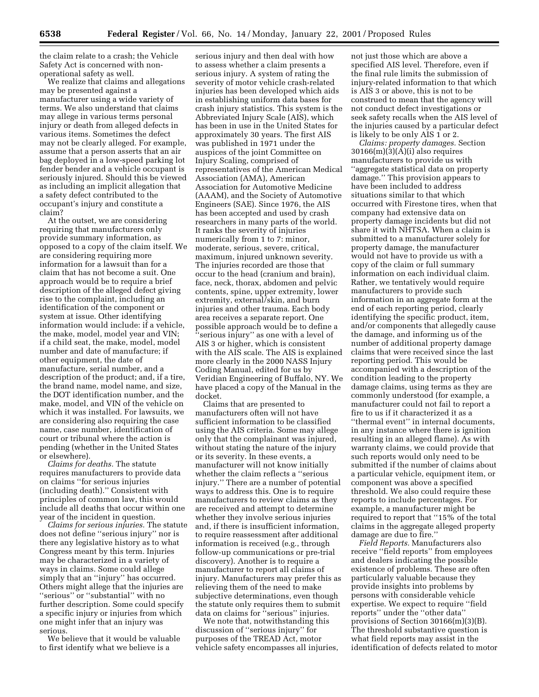the claim relate to a crash; the Vehicle Safety Act is concerned with nonoperational safety as well.

We realize that claims and allegations may be presented against a manufacturer using a wide variety of terms. We also understand that claims may allege in various terms personal injury or death from alleged defects in various items. Sometimes the defect may not be clearly alleged. For example, assume that a person asserts that an air bag deployed in a low-speed parking lot fender bender and a vehicle occupant is seriously injured. Should this be viewed as including an implicit allegation that a safety defect contributed to the occupant's injury and constitute a claim?

At the outset, we are considering requiring that manufacturers only provide summary information, as opposed to a copy of the claim itself. We are considering requiring more information for a lawsuit than for a claim that has not become a suit. One approach would be to require a brief description of the alleged defect giving rise to the complaint, including an identification of the component or system at issue. Other identifying information would include: if a vehicle, the make, model, model year and VIN; if a child seat, the make, model, model number and date of manufacture; if other equipment, the date of manufacture, serial number, and a description of the product; and, if a tire, the brand name, model name, and size, the DOT identification number, and the make, model, and VIN of the vehicle on which it was installed. For lawsuits, we are considering also requiring the case name, case number, identification of court or tribunal where the action is pending (whether in the United States or elsewhere).

*Claims for deaths.* The statute requires manufacturers to provide data on claims ''for serious injuries (including death).'' Consistent with principles of common law, this would include all deaths that occur within one year of the incident in question.

*Claims for serious injuries.* The statute does not define ''serious injury'' nor is there any legislative history as to what Congress meant by this term. Injuries may be characterized in a variety of ways in claims. Some could allege simply that an ''injury'' has occurred. Others might allege that the injuries are ''serious'' or ''substantial'' with no further description. Some could specify a specific injury or injuries from which one might infer that an injury was serious.

We believe that it would be valuable to first identify what we believe is a

serious injury and then deal with how to assess whether a claim presents a serious injury. A system of rating the severity of motor vehicle crash-related injuries has been developed which aids in establishing uniform data bases for crash injury statistics. This system is the Abbreviated Injury Scale (AIS), which has been in use in the United States for approximately 30 years. The first AIS was published in 1971 under the auspices of the joint Committee on Injury Scaling, comprised of representatives of the American Medical Association (AMA), American Association for Automotive Medicine (AAAM), and the Society of Automotive Engineers (SAE). Since 1976, the AIS has been accepted and used by crash researchers in many parts of the world. It ranks the severity of injuries numerically from 1 to 7: minor, moderate, serious, severe, critical, maximum, injured unknown severity. The injuries recorded are those that occur to the head (cranium and brain), face, neck, thorax, abdomen and pelvic contents, spine, upper extremity, lower extremity, external/skin, and burn injuries and other trauma. Each body area receives a separate report. One possible approach would be to define a 'serious injury'' as one with a level of AIS 3 or higher, which is consistent with the AIS scale. The AIS is explained more clearly in the 2000 NASS Injury Coding Manual, edited for us by Veridian Engineering of Buffalo, NY. We have placed a copy of the Manual in the docket.

Claims that are presented to manufacturers often will not have sufficient information to be classified using the AIS criteria. Some may allege only that the complainant was injured, without stating the nature of the injury or its severity. In these events, a manufacturer will not know initially whether the claim reflects a ''serious injury.'' There are a number of potential ways to address this. One is to require manufacturers to review claims as they are received and attempt to determine whether they involve serious injuries and, if there is insufficient information, to require reassessment after additional information is received (e.g., through follow-up communications or pre-trial discovery). Another is to require a manufacturer to report all claims of injury. Manufacturers may prefer this as relieving them of the need to make subjective determinations, even though the statute only requires them to submit data on claims for ''serious'' injuries.

We note that, notwithstanding this discussion of ''serious injury'' for purposes of the TREAD Act, motor vehicle safety encompasses all injuries, not just those which are above a specified AIS level. Therefore, even if the final rule limits the submission of injury-related information to that which is AIS 3 or above, this is not to be construed to mean that the agency will not conduct defect investigations or seek safety recalls when the AIS level of the injuries caused by a particular defect is likely to be only AIS 1 or 2.

*Claims: property damages.* Section 30166(m)(3)(A)(i) also requires manufacturers to provide us with ''aggregate statistical data on property damage.'' This provision appears to have been included to address situations similar to that which occurred with Firestone tires, when that company had extensive data on property damage incidents but did not share it with NHTSA. When a claim is submitted to a manufacturer solely for property damage, the manufacturer would not have to provide us with a copy of the claim or full summary information on each individual claim. Rather, we tentatively would require manufacturers to provide such information in an aggregate form at the end of each reporting period, clearly identifying the specific product, item, and/or components that allegedly cause the damage, and informing us of the number of additional property damage claims that were received since the last reporting period. This would be accompanied with a description of the condition leading to the property damage claims, using terms as they are commonly understood (for example, a manufacturer could not fail to report a fire to us if it characterized it as a ''thermal event'' in internal documents, in any instance where there is ignition resulting in an alleged flame). As with warranty claims, we could provide that such reports would only need to be submitted if the number of claims about a particular vehicle, equipment item, or component was above a specified threshold. We also could require these reports to include percentages. For example, a manufacturer might be required to report that ''15% of the total claims in the aggregate alleged property damage are due to fire.''

*Field Reports.* Manufacturers also receive ''field reports'' from employees and dealers indicating the possible existence of problems. These are often particularly valuable because they provide insights into problems by persons with considerable vehicle expertise. We expect to require ''field reports'' under the ''other data'' provisions of Section 30166(m)(3)(B). The threshold substantive question is what field reports may assist in the identification of defects related to motor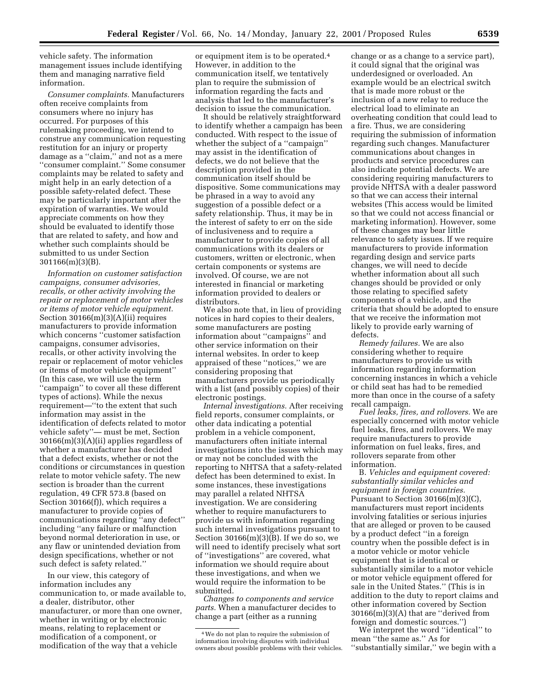vehicle safety. The information management issues include identifying them and managing narrative field information.

*Consumer complaints.* Manufacturers often receive complaints from consumers where no injury has occurred. For purposes of this rulemaking proceeding, we intend to construe any communication requesting restitution for an injury or property damage as a ''claim,'' and not as a mere ''consumer complaint.'' Some consumer complaints may be related to safety and might help in an early detection of a possible safety-related defect. These may be particularly important after the expiration of warranties. We would appreciate comments on how they should be evaluated to identify those that are related to safety, and how and whether such complaints should be submitted to us under Section 301166(m)(3)(B).

*Information on customer satisfaction campaigns, consumer advisories, recalls, or other activity involving the repair or replacement of motor vehicles or items of motor vehicle equipment.* Section 30166(m)(3)(A)(ii) requires manufacturers to provide information which concerns ''customer satisfaction campaigns, consumer advisories, recalls, or other activity involving the repair or replacement of motor vehicles or items of motor vehicle equipment'' (In this case, we will use the term ''campaign'' to cover all these different types of actions). While the nexus requirement—''to the extent that such information may assist in the identification of defects related to motor vehicle safety''— must be met, Section 30166(m)(3)(A)(ii) applies regardless of whether a manufacturer has decided that a defect exists, whether or not the conditions or circumstances in question relate to motor vehicle safety. The new section is broader than the current regulation, 49 CFR 573.8 (based on Section 30166(f)), which requires a manufacturer to provide copies of communications regarding ''any defect'' including ''any failure or malfunction beyond normal deterioration in use, or any flaw or unintended deviation from design specifications, whether or not such defect is safety related.''

In our view, this category of information includes any communication to, or made available to, a dealer, distributor, other manufacturer, or more than one owner, whether in writing or by electronic means, relating to replacement or modification of a component, or modification of the way that a vehicle

or equipment item is to be operated.4 However, in addition to the communication itself, we tentatively plan to require the submission of information regarding the facts and analysis that led to the manufacturer's decision to issue the communication.

It should be relatively straightforward to identify whether a campaign has been conducted. With respect to the issue of whether the subject of a "campaign" may assist in the identification of defects, we do not believe that the description provided in the communication itself should be dispositive. Some communications may be phrased in a way to avoid any suggestion of a possible defect or a safety relationship. Thus, it may be in the interest of safety to err on the side of inclusiveness and to require a manufacturer to provide copies of all communications with its dealers or customers, written or electronic, when certain components or systems are involved. Of course, we are not interested in financial or marketing information provided to dealers or distributors.

We also note that, in lieu of providing notices in hard copies to their dealers, some manufacturers are posting information about ''campaigns'' and other service information on their internal websites. In order to keep appraised of these ''notices,'' we are considering proposing that manufacturers provide us periodically with a list (and possibly copies) of their electronic postings.

*Internal investigations.* After receiving field reports, consumer complaints, or other data indicating a potential problem in a vehicle component, manufacturers often initiate internal investigations into the issues which may or may not be concluded with the reporting to NHTSA that a safety-related defect has been determined to exist. In some instances, these investigations may parallel a related NHTSA investigation. We are considering whether to require manufacturers to provide us with information regarding such internal investigations pursuant to Section  $30166(m)(3)(B)$ . If we do so, we will need to identify precisely what sort of ''investigations'' are covered, what information we should require about these investigations, and when we would require the information to be submitted.

*Changes to components and service parts.* When a manufacturer decides to change a part (either as a running

change or as a change to a service part), it could signal that the original was underdesigned or overloaded. An example would be an electrical switch that is made more robust or the inclusion of a new relay to reduce the electrical load to eliminate an overheating condition that could lead to a fire. Thus, we are considering requiring the submission of information regarding such changes. Manufacturer communications about changes in products and service procedures can also indicate potential defects. We are considering requiring manufacturers to provide NHTSA with a dealer password so that we can access their internal websites (This access would be limited so that we could not access financial or marketing information). However, some of these changes may bear little relevance to safety issues. If we require manufacturers to provide information regarding design and service parts changes, we will need to decide whether information about all such changes should be provided or only those relating to specified safety components of a vehicle, and the criteria that should be adopted to ensure that we receive the information mot likely to provide early warning of defects.

*Remedy failures.* We are also considering whether to require manufacturers to provide us with information regarding information concerning instances in which a vehicle or child seat has had to be remedied more than once in the course of a safety recall campaign.

*Fuel leaks, fires, and rollovers.* We are especially concerned with motor vehicle fuel leaks, fires, and rollovers. We may require manufacturers to provide information on fuel leaks, fires, and rollovers separate from other information.

B. *Vehicles and equipment covered: substantially similar vehicles and equipment in foreign countries.* Pursuant to Section 30166(m)(3)(C), manufacturers must report incidents involving fatalities or serious injuries that are alleged or proven to be caused by a product defect ''in a foreign country when the possible defect is in a motor vehicle or motor vehicle equipment that is identical or substantially similar to a motor vehicle or motor vehicle equipment offered for sale in the United States.'' (This is in addition to the duty to report claims and other information covered by Section 30166(m)(3)(A) that are ''derived from foreign and domestic sources.'')

We interpret the word ''identical'' to mean ''the same as.'' As for ''substantially similar,'' we begin with a

<sup>4</sup>We do not plan to require the submission of information involving disputes with individual owners about possible problems with their vehicles.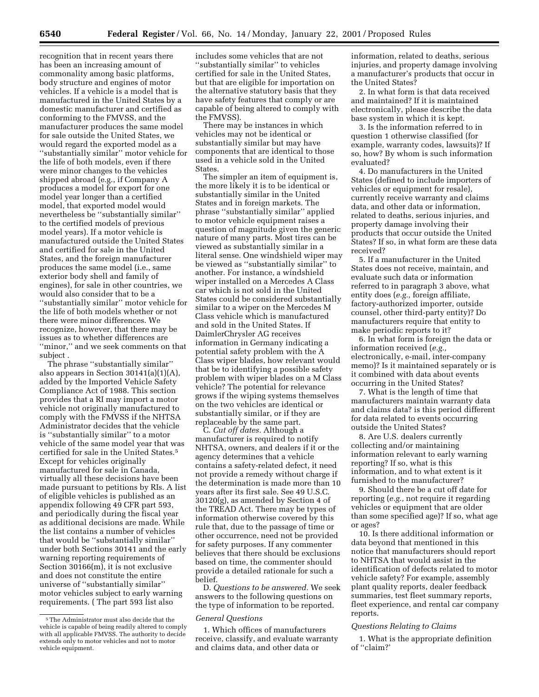recognition that in recent years there has been an increasing amount of commonality among basic platforms, body structure and engines of motor vehicles. If a vehicle is a model that is manufactured in the United States by a domestic manufacturer and certified as conforming to the FMVSS, and the manufacturer produces the same model for sale outside the United States, we would regard the exported model as a ''substantially similar'' motor vehicle for the life of both models, even if there were minor changes to the vehicles shipped abroad (e.g., if Company A produces a model for export for one model year longer than a certified model, that exported model would nevertheless be ''substantially similar'' to the certified models of previous model years). If a motor vehicle is manufactured outside the United States and certified for sale in the United States, and the foreign manufacturer produces the same model (i.e., same exterior body shell and family of engines), for sale in other countries, we would also consider that to be a ''substantially similar'' motor vehicle for the life of both models whether or not there were minor differences. We recognize, however, that there may be issues as to whether differences are ''minor,'' and we seek comments on that subject .

The phrase ''substantially similar'' also appears in Section 30141(a)(1)(A), added by the Imported Vehicle Safety Compliance Act of 1988. This section provides that a RI may import a motor vehicle not originally manufactured to comply with the FMVSS if the NHTSA Administrator decides that the vehicle is ''substantially similar'' to a motor vehicle of the same model year that was certified for sale in the United States.5 Except for vehicles originally manufactured for sale in Canada, virtually all these decisions have been made pursuant to petitions by RIs. A list of eligible vehicles is published as an appendix following 49 CFR part 593, and periodically during the fiscal year as additional decisions are made. While the list contains a number of vehicles that would be ''substantially similar'' under both Sections 30141 and the early warning reporting requirements of Section 30166(m), it is not exclusive and does not constitute the entire universe of ''substantially similar'' motor vehicles subject to early warning requirements. ( The part 593 list also

includes some vehicles that are not ''substantially similar'' to vehicles certified for sale in the United States, but that are eligible for importation on the alternative statutory basis that they have safety features that comply or are capable of being altered to comply with the FMVSS).

There may be instances in which vehicles may not be identical or substantially similar but may have components that are identical to those used in a vehicle sold in the United States.

The simpler an item of equipment is, the more likely it is to be identical or substantially similar in the United States and in foreign markets. The phrase ''substantially similar'' applied to motor vehicle equipment raises a question of magnitude given the generic nature of many parts. Most tires can be viewed as substantially similar in a literal sense. One windshield wiper may be viewed as ''substantially similar'' to another. For instance, a windshield wiper installed on a Mercedes A Class car which is not sold in the United States could be considered substantially similar to a wiper on the Mercedes M Class vehicle which is manufactured and sold in the United States. If DaimlerChrysler AG receives information in Germany indicating a potential safety problem with the A Class wiper blades, how relevant would that be to identifying a possible safety problem with wiper blades on a M Class vehicle? The potential for relevance grows if the wiping systems themselves on the two vehicles are identical or substantially similar, or if they are replaceable by the same part.

C. *Cut off dates.* Although a manufacturer is required to notify NHTSA, owners, and dealers if it or the agency determines that a vehicle contains a safety-related defect, it need not provide a remedy without charge if the determination is made more than 10 years after its first sale. See 49 U.S.C. 30120(g), as amended by Section 4 of the TREAD Act. There may be types of information otherwise covered by this rule that, due to the passage of time or other occurrence, need not be provided for safety purposes. If any commenter believes that there should be exclusions based on time, the commenter should provide a detailed rationale for such a belief.

D. *Questions to be answered.* We seek answers to the following questions on the type of information to be reported.

### *General Questions*

1. Which offices of manufacturers receive, classify, and evaluate warranty and claims data, and other data or

information, related to deaths, serious injuries, and property damage involving a manufacturer's products that occur in the United States?

2. In what form is that data received and maintained? If it is maintained electronically, please describe the data base system in which it is kept.

3. Is the information referred to in question 1 otherwise classified (for example, warranty codes, lawsuits)? If so, how? By whom is such information evaluated?

4. Do manufacturers in the United States (defined to include importers of vehicles or equipment for resale), currently receive warranty and claims data, and other data or information, related to deaths, serious injuries, and property damage involving their products that occur outside the United States? If so, in what form are these data received?

5. If a manufacturer in the United States does not receive, maintain, and evaluate such data or information referred to in paragraph 3 above, what entity does (*e.g.,* foreign affiliate, factory-authorized importer, outside counsel, other third-party entity)? Do manufacturers require that entity to make periodic reports to it?

6. In what form is foreign the data or information received (*e.g.,* electronically, e-mail, inter-company memo)? Is it maintained separately or is it combined with data about events occurring in the United States?

7. What is the length of time that manufacturers maintain warranty data and claims data? is this period different for data related to events occurring outside the United States?

8. Are U.S. dealers currently collecting and/or maintaining information relevant to early warning reporting? If so, what is this information, and to what extent is it furnished to the manufacturer?

9. Should there be a cut off date for reporting (*e.g.,* not require it regarding vehicles or equipment that are older than some specified age)? If so, what age or ages?

10. Is there additional information or data beyond that mentioned in this notice that manufacturers should report to NHTSA that would assist in the identification of defects related to motor vehicle safety? For example, assembly plant quality reports, dealer feedback summaries, test fleet summary reports, fleet experience, and rental car company reports.

#### *Questions Relating to Claims*

1. What is the appropriate definition of ''claim?'

 $^{\rm 5}$  The Administrator must also decide that the vehicle is capable of being readily altered to comply with all applicable FMVSS. The authority to decide extends only to motor vehicles and not to motor vehicle equipment.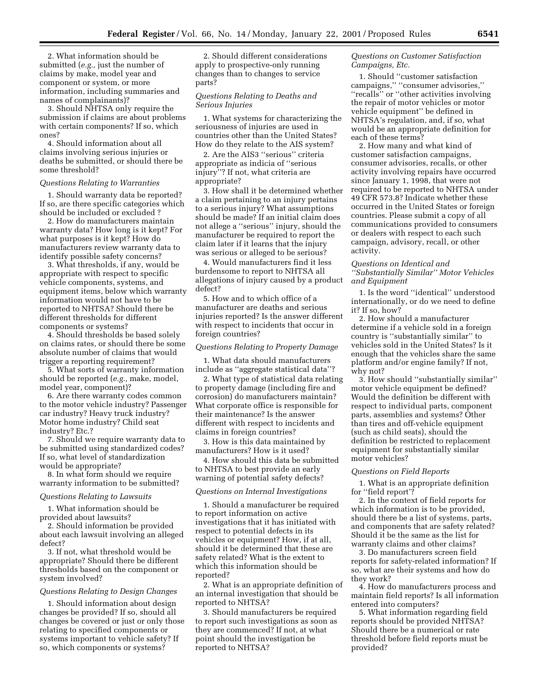2. What information should be submitted (*e.g.,* just the number of claims by make, model year and component or system, or more information, including summaries and names of complainants)?

3. Should NHTSA only require the submission if claims are about problems with certain components? If so, which ones?

4. Should information about all claims involving serious injuries or deaths be submitted, or should there be some threshold?

#### *Questions Relating to Warranties*

1. Should warranty data be reported? If so, are there specific categories which should be included or excluded ?

2. How do manufacturers maintain warranty data? How long is it kept? For what purposes is it kept? How do manufacturers review warranty data to identify possible safety concerns?

3. What thresholds, if any, would be appropriate with respect to specific vehicle components, systems, and equipment items, below which warranty information would not have to be reported to NHTSA? Should there be different thresholds for different components or systems?

4. Should thresholds be based solely on claims rates, or should there be some absolute number of claims that would trigger a reporting requirement?

5. What sorts of warranty information should be reported (*e.g.,* make, model, model year, component)?

6. Are there warranty codes common to the motor vehicle industry? Passenger car industry? Heavy truck industry? Motor home industry? Child seat industry? Etc.?

7. Should we require warranty data to be submitted using standardized codes? If so, what level of standardization would be appropriate?

8. In what form should we require warranty information to be submitted?

#### *Questions Relating to Lawsuits*

1. What information should be provided about lawsuits?

2. Should information be provided about each lawsuit involving an alleged defect?

3. If not, what threshold would be appropriate? Should there be different thresholds based on the component or system involved?

#### *Questions Relating to Design Changes*

1. Should information about design changes be provided? If so, should all changes be covered or just or only those relating to specified components or systems important to vehicle safety? If so, which components or systems?

2. Should different considerations apply to prospective-only running changes than to changes to service parts?

### *Questions Relating to Deaths and Serious Injuries*

1. What systems for characterizing the seriousness of injuries are used in countries other than the United States? How do they relate to the AIS system?

2. Are the AIS3 ''serious'' criteria appropriate as indicia of ''serious injury''? If not, what criteria are appropriate?

3. How shall it be determined whether a claim pertaining to an injury pertains to a serious injury? What assumptions should be made? If an initial claim does not allege a ''serious'' injury, should the manufacturer be required to report the claim later if it learns that the injury was serious or alleged to be serious?

4. Would manufacturers find it less burdensome to report to NHTSA all allegations of injury caused by a product defect?

5. How and to which office of a manufacturer are deaths and serious injuries reported? Is the answer different with respect to incidents that occur in foreign countries?

#### *Questions Relating to Property Damage*

1. What data should manufacturers include as ''aggregate statistical data''?

2. What type of statistical data relating to property damage (including fire and corrosion) do manufacturers maintain? What corporate office is responsible for their maintenance? Is the answer different with respect to incidents and claims in foreign countries?

3. How is this data maintained by manufacturers? How is it used?

4. How should this data be submitted to NHTSA to best provide an early warning of potential safety defects?

#### *Questions on Internal Investigations*

1. Should a manufacturer be required to report information on active investigations that it has initiated with respect to potential defects in its vehicles or equipment? How, if at all, should it be determined that these are safety related? What is the extent to which this information should be reported?

2. What is an appropriate definition of an internal investigation that should be reported to NHTSA?

3. Should manufacturers be required to report such investigations as soon as they are commenced? If not, at what point should the investigation be reported to NHTSA?

### *Questions on Customer Satisfaction Campaigns, Etc.*

1. Should ''customer satisfaction campaigns,'' ''consumer advisories,'' ''recalls'' or ''other activities involving the repair of motor vehicles or motor vehicle equipment'' be defined in NHTSA's regulation, and, if so, what would be an appropriate definition for each of these terms?

2. How many and what kind of customer satisfaction campaigns, consumer advisories, recalls, or other activity involving repairs have occurred since January 1, 1998, that were not required to be reported to NHTSA under 49 CFR 573.8? Indicate whether these occurred in the United States or foreign countries. Please submit a copy of all communications provided to consumers or dealers with respect to each such campaign, advisory, recall, or other activity.

### *Questions on Identical and ''Substantially Similar'' Motor Vehicles and Equipment*

1. Is the word ''identical'' understood internationally, or do we need to define it? If so, how?

2. How should a manufacturer determine if a vehicle sold in a foreign country is ''substantially similar'' to vehicles sold in the United States? Is it enough that the vehicles share the same platform and/or engine family? If not, why not?

3. How should ''substantially similar'' motor vehicle equipment be defined? Would the definition be different with respect to individual parts, component parts, assemblies and systems? Other than tires and off-vehicle equipment (such as child seats), should the definition be restricted to replacement equipment for substantially similar motor vehicles?

#### *Questions on Field Reports*

1. What is an appropriate definition for "field report"?

2. In the context of field reports for which information is to be provided, should there be a list of systems, parts, and components that are safety related? Should it be the same as the list for warranty claims and other claims?

3. Do manufacturers screen field reports for safety-related information? If so, what are their systems and how do they work?

4. How do manufacturers process and maintain field reports? Is all information entered into computers?

5. What information regarding field reports should be provided NHTSA? Should there be a numerical or rate threshold before field reports must be provided?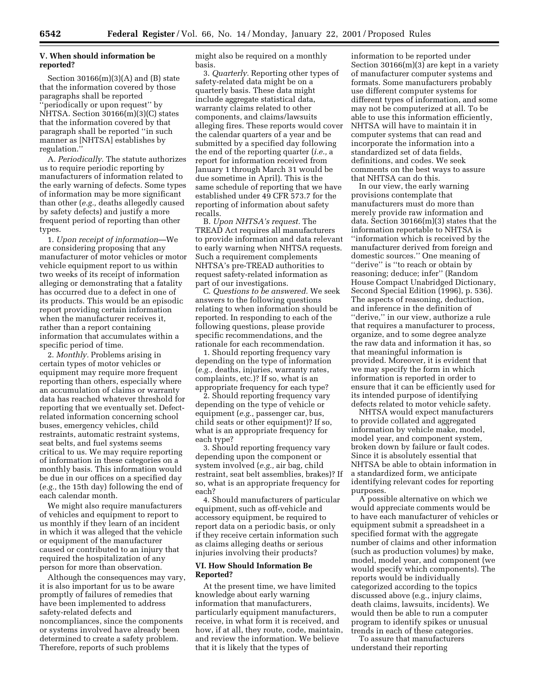## **V. When should information be reported?**

Section  $30166(m)(3)(A)$  and  $(B)$  state that the information covered by those paragraphs shall be reported ''periodically or upon request'' by NHTSA. Section 30166(m)(3)(C) states that the information covered by that paragraph shall be reported ''in such manner as [NHTSA] establishes by regulation.''

A. *Periodically.* The statute authorizes us to require periodic reporting by manufacturers of information related to the early warning of defects. Some types of information may be more significant than other (*e.g.,* deaths allegedly caused by safety defects) and justify a more frequent period of reporting than other types.

1. *Upon receipt of information*—We are considering proposing that any manufacturer of motor vehicles or motor vehicle equipment report to us within two weeks of its receipt of information alleging or demonstrating that a fatality has occurred due to a defect in one of its products. This would be an episodic report providing certain information when the manufacturer receives it, rather than a report containing information that accumulates within a specific period of time.

2. *Monthly.* Problems arising in certain types of motor vehicles or equipment may require more frequent reporting than others, especially where an accumulation of claims or warranty data has reached whatever threshold for reporting that we eventually set. Defectrelated information concerning school buses, emergency vehicles, child restraints, automatic restraint systems, seat belts, and fuel systems seems critical to us. We may require reporting of information in these categories on a monthly basis. This information would be due in our offices on a specified day (*e.g.,* the 15th day) following the end of each calendar month.

We might also require manufacturers of vehicles and equipment to report to us monthly if they learn of an incident in which it was alleged that the vehicle or equipment of the manufacturer caused or contributed to an injury that required the hospitalization of any person for more than observation.

Although the consequences may vary, it is also important for us to be aware promptly of failures of remedies that have been implemented to address safety-related defects and noncompliances, since the components or systems involved have already been determined to create a safety problem. Therefore, reports of such problems

might also be required on a monthly basis.

3. *Quarterly.* Reporting other types of safety-related data might be on a quarterly basis. These data might include aggregate statistical data, warranty claims related to other components, and claims/lawsuits alleging fires. These reports would cover the calendar quarters of a year and be submitted by a specified day following the end of the reporting quarter (*i.e.,* a report for information received from January 1 through March 31 would be due sometime in April). This is the same schedule of reporting that we have established under 49 CFR 573.7 for the reporting of information about safety recalls.

B. *Upon NHTSA's request.* The TREAD Act requires all manufacturers to provide information and data relevant to early warning when NHTSA requests. Such a requirement complements NHTSA's pre-TREAD authorities to request safety-related information as part of our investigations.

C. *Questions to be answered.* We seek answers to the following questions relating to when information should be reported. In responding to each of the following questions, please provide specific recommendations, and the rationale for each recommendation.

1. Should reporting frequency vary depending on the type of information (*e.g.,* deaths, injuries, warranty rates, complaints, etc.)? If so, what is an appropriate frequency for each type?

2. Should reporting frequency vary depending on the type of vehicle or equipment (*e.g.,* passenger car, bus, child seats or other equipment)? If so, what is an appropriate frequency for each type?

3. Should reporting frequency vary depending upon the component or system involved (*e.g.,* air bag, child restraint, seat belt assemblies, brakes)? If so, what is an appropriate frequency for each?

4. Should manufacturers of particular equipment, such as off-vehicle and accessory equipment, be required to report data on a periodic basis, or only if they receive certain information such as claims alleging deaths or serious injuries involving their products?

#### **VI. How Should Information Be Reported?**

At the present time, we have limited knowledge about early warning information that manufacturers, particularly equipment manufacturers, receive, in what form it is received, and how, if at all, they route, code, maintain, and review the information. We believe that it is likely that the types of

information to be reported under Section 30166(m)(3) are kept in a variety of manufacturer computer systems and formats. Some manufacturers probably use different computer systems for different types of information, and some may not be computerized at all. To be able to use this information efficiently, NHTSA will have to maintain it in computer systems that can read and incorporate the information into a standardized set of data fields, definitions, and codes. We seek comments on the best ways to assure that NHTSA can do this.

In our view, the early warning provisions contemplate that manufacturers must do more than merely provide raw information and data. Section 30166(m)(3) states that the information reportable to NHTSA is ''information which is received by the manufacturer derived from foreign and domestic sources.'' One meaning of "derive" is "to reach or obtain by reasoning; deduce; infer'' (Random House Compact Unabridged Dictionary, Second Special Edition (1996), p. 536). The aspects of reasoning, deduction, and inference in the definition of ''derive,'' in our view, authorize a rule that requires a manufacturer to process, organize, and to some degree analyze the raw data and information it has, so that meaningful information is provided. Moreover, it is evident that we may specify the form in which information is reported in order to ensure that it can be efficiently used for its intended purpose of identifying defects related to motor vehicle safety.

NHTSA would expect manufacturers to provide collated and aggregated information by vehicle make, model, model year, and component system, broken down by failure or fault codes. Since it is absolutely essential that NHTSA be able to obtain information in a standardized form, we anticipate identifying relevant codes for reporting purposes.

A possible alternative on which we would appreciate comments would be to have each manufacturer of vehicles or equipment submit a spreadsheet in a specified format with the aggregate number of claims and other information (such as production volumes) by make, model, model year, and component (we would specify which components). The reports would be individually categorized according to the topics discussed above (e.g., injury claims, death claims, lawsuits, incidents). We would then be able to run a computer program to identify spikes or unusual trends in each of these categories.

To assure that manufacturers understand their reporting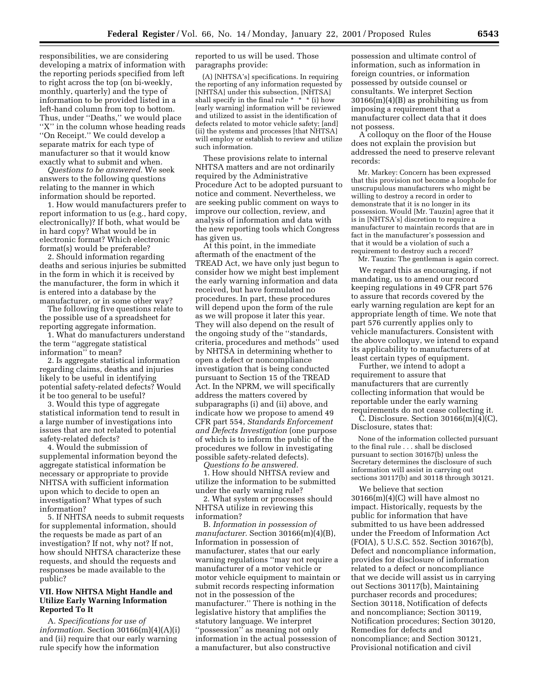responsibilities, we are considering developing a matrix of information with the reporting periods specified from left to right across the top (on bi-weekly, monthly, quarterly) and the type of information to be provided listed in a left-hand column from top to bottom. Thus, under ''Deaths,'' we would place ''X'' in the column whose heading reads ''On Receipt.'' We could develop a separate matrix for each type of manufacturer so that it would know exactly what to submit and when.

*Questions to be answered.* We seek answers to the following questions relating to the manner in which information should be reported.

1. How would manufacturers prefer to report information to us (e.g., hard copy, electronically)? If both, what would be in hard copy? What would be in electronic format? Which electronic format(s) would be preferable?

2. Should information regarding deaths and serious injuries be submitted in the form in which it is received by the manufacturer, the form in which it is entered into a database by the manufacturer, or in some other way?

The following five questions relate to the possible use of a spreadsheet for reporting aggregate information.

1. What do manufacturers understand the term ''aggregate statistical information'' to mean?

2. Is aggregate statistical information regarding claims, deaths and injuries likely to be useful in identifying potential safety-related defects? Would it be too general to be useful?

3. Would this type of aggregate statistical information tend to result in a large number of investigations into issues that are not related to potential safety-related defects?

4. Would the submission of supplemental information beyond the aggregate statistical information be necessary or appropriate to provide NHTSA with sufficient information upon which to decide to open an investigation? What types of such information?

5. If NHTSA needs to submit requests for supplemental information, should the requests be made as part of an investigation? If not, why not? If not, how should NHTSA characterize these requests, and should the requests and responses be made available to the public?

### **VII. How NHTSA Might Handle and Utilize Early Warning Information Reported To It**

A. *Specifications for use of information.* Section 30166(m)(4)(A)(i) and (ii) require that our early warning rule specify how the information

reported to us will be used. Those paragraphs provide:

(A) [NHTSA's] specifications. In requiring the reporting of any information requested by [NHTSA] under this subsection, [NHTSA] shall specify in the final rule  $* * * (i)$  how [early warning] information will be reviewed and utilized to assist in the identification of defects related to motor vehicle safety; [and] (ii) the systems and processes [that NHTSA] will employ or establish to review and utilize such information.

These provisions relate to internal NHTSA matters and are not ordinarily required by the Administrative Procedure Act to be adopted pursuant to notice and comment. Nevertheless, we are seeking public comment on ways to improve our collection, review, and analysis of information and data with the new reporting tools which Congress has given us.

At this point, in the immediate aftermath of the enactment of the TREAD Act, we have only just begun to consider how we might best implement the early warning information and data received, but have formulated no procedures. In part, these procedures will depend upon the form of the rule as we will propose it later this year. They will also depend on the result of the ongoing study of the ''standards, criteria, procedures and methods'' used by NHTSA in determining whether to open a defect or noncompliance investigation that is being conducted pursuant to Section 15 of the TREAD Act. In the NPRM, we will specifically address the matters covered by subparagraphs (i) and (ii) above, and indicate how we propose to amend 49 CFR part 554, *Standards Enforcement and Defects Investigation* (one purpose of which is to inform the public of the procedures we follow in investigating possible safety-related defects). *Questions to be answered.*

1. How should NHTSA review and utilize the information to be submitted under the early warning rule?

2. What system or processes should NHTSA utilize in reviewing this information?

B. *Information in possession of manufacturer.* Section 30166(m)(4)(B), Information in possession of manufacturer, states that our early warning regulations ''may not require a manufacturer of a motor vehicle or motor vehicle equipment to maintain or submit records respecting information not in the possession of the manufacturer.'' There is nothing in the legislative history that amplifies the statutory language. We interpret ''possession'' as meaning not only information in the actual possession of a manufacturer, but also constructive

possession and ultimate control of information, such as information in foreign countries, or information possessed by outside counsel or consultants. We interpret Section  $30166(m)(4)(B)$  as prohibiting us from imposing a requirement that a manufacturer collect data that it does not possess.

A colloquy on the floor of the House does not explain the provision but addressed the need to preserve relevant records:

Mr. Markey: Concern has been expressed that this provision not become a loophole for unscrupulous manufacturers who might be willing to destroy a record in order to demonstrate that it is no longer in its possession. Would [Mr. Tauzin] agree that it is in [NHTSA's] discretion to require a manufacturer to maintain records that are in fact in the manufacturer's possession and that it would be a violation of such a requirement to destroy such a record?

Mr. Tauzin: The gentleman is again correct.

We regard this as encouraging, if not mandating, us to amend our record keeping regulations in 49 CFR part 576 to assure that records covered by the early warning regulation are kept for an appropriate length of time. We note that part 576 currently applies only to vehicle manufacturers. Consistent with the above colloquy, we intend to expand its applicability to manufacturers of at least certain types of equipment.

Further, we intend to adopt a requirement to assure that manufacturers that are currently collecting information that would be reportable under the early warning requirements do not cease collecting it.

 $\bar{C}$ . Disclosure. Section 30166 $(m)(4)(C)$ , Disclosure, states that:

None of the information collected pursuant to the final rule . . . shall be disclosed pursuant to section 30167(b) unless the Secretary determines the disclosure of such information will assist in carrying out sections 30117(b) and 30118 through 30121.

We believe that section 30166(m)(4)(C) will have almost no impact. Historically, requests by the public for information that have submitted to us have been addressed under the Freedom of Information Act (FOIA), 5 U.S.C. 552. Section 30167(b), Defect and noncompliance information, provides for disclosure of information related to a defect or noncompliance that we decide will assist us in carrying out Sections 30117(b), Maintaining purchaser records and procedures; Section 30118, Notification of defects and noncompliance; Section 30119, Notification procedures; Section 30120, Remedies for defects and noncompliance; and Section 30121, Provisional notification and civil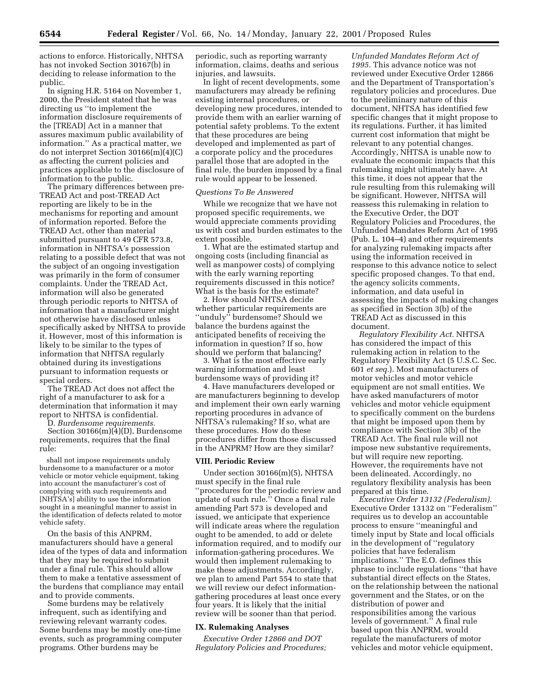actions to enforce. Historically, NHTSA has not invoked Section 30167(b) in deciding to release information to the public.

In signing H.R. 5164 on November 1, 2000, the President stated that he was directing us ''to implement the information disclosure requirements of the [TREAD] Act in a manner that assures maximum public availability of information.'' As a practical matter, we do not interpret Section 30166(m)(4)(C) as affecting the current policies and practices applicable to the disclosure of information to the public.

The primary differences between pre-TREAD Act and post-TREAD Act reporting are likely to be in the mechanisms for reporting and amount of information reported. Before the TREAD Act, other than material submitted pursuant to 49 CFR 573.8, information in NHTSA's possession relating to a possible defect that was not the subject of an ongoing investigation was primarily in the form of consumer complaints. Under the TREAD Act, information will also be generated through periodic reports to NHTSA of information that a manufacturer might not otherwise have disclosed unless specifically asked by NHTSA to provide it. However, most of this information is likely to be similar to the types of information that NHTSA regularly obtained during its investigations pursuant to information requests or special orders.

The TREAD Act does not affect the right of a manufacturer to ask for a determination that information it may report to NHTSA is confidential.

D. *Burdensome requirements.*

Section 30166(m)(4)(D), Burdensome requirements, requires that the final rule:

shall not impose requirements unduly burdensome to a manufacturer or a motor vehicle or motor vehicle equipment, taking into account the manufacturer's cost of complying with such requirements and [NHTSA's] ability to use the information sought in a meaningful manner to assist in the identification of defects related to motor vehicle safety.

On the basis of this ANPRM, manufacturers should have a general idea of the types of data and information that they may be required to submit under a final rule. This should allow them to make a tentative assessment of the burdens that compliance may entail and to provide comments.

Some burdens may be relatively infrequent, such as identifying and reviewing relevant warranty codes. Some burdens may be mostly one-time events, such as programming computer programs. Other burdens may be

periodic, such as reporting warranty information, claims, deaths and serious injuries, and lawsuits.

In light of recent developments, some manufacturers may already be refining existing internal procedures, or developing new procedures, intended to provide them with an earlier warning of potential safety problems. To the extent that these procedures are being developed and implemented as part of a corporate policy and the procedures parallel those that are adopted in the final rule, the burden imposed by a final rule would appear to be lessened.

### *Questions To Be Answered*

While we recognize that we have not proposed specific requirements, we would appreciate comments providing us with cost and burden estimates to the extent possible.

1. What are the estimated startup and ongoing costs (including financial as well as manpower costs) of complying with the early warning reporting requirements discussed in this notice? What is the basis for the estimate?

2. How should NHTSA decide whether particular requirements are ''unduly'' burdensome? Should we balance the burdens against the anticipated benefits of receiving the information in question? If so, how should we perform that balancing?

3. What is the most effective early warning information and least burdensome ways of providing it?

4. Have manufacturers developed or are manufacturers beginning to develop and implement their own early warning reporting procedures in advance of NHTSA's rulemaking? If so, what are these procedures. How do these procedures differ from those discussed in the ANPRM? How are they similar?

#### **VIII. Periodic Review**

Under section 30166(m)(5), NHTSA must specify in the final rule ''procedures for the periodic review and update of such rule.'' Once a final rule amending Part 573 is developed and issued, we anticipate that experience will indicate areas where the regulation ought to be amended, to add or delete information required, and to modify our information-gathering procedures. We would then implement rulemaking to make these adjustments. Accordingly, we plan to amend Part 554 to state that we will review our defect informationgathering procedures at least once every four years. It is likely that the initial review will be sooner than that period.

### **IX. Rulemaking Analyses**

*Executive Order 12866 and DOT Regulatory Policies and Procedures;*

*Unfunded Mandates Reform Act of 1995.* This advance notice was not reviewed under Executive Order 12866 and the Department of Transportation's regulatory policies and procedures. Due to the preliminary nature of this document, NHTSA has identified few specific changes that it might propose to its regulations. Further, it has limited current cost information that might be relevant to any potential changes. Accordingly, NHTSA is unable now to evaluate the economic impacts that this rulemaking might ultimately have. At this time, it does not appear that the rule resulting from this rulemaking will be significant. However, NHTSA will reassess this rulemaking in relation to the Executive Order, the DOT Regulatory Policies and Procedures, the Unfunded Mandates Reform Act of 1995 (Pub. L. 104–4) and other requirements for analyzing rulemaking impacts after using the information received in response to this advance notice to select specific proposed changes. To that end, the agency solicits comments, information, and data useful in assessing the impacts of making changes as specified in Section 3(b) of the TREAD Act as discussed in this document.

*Regulatory Flexibility Act.* NHTSA has considered the impact of this rulemaking action in relation to the Regulatory Flexibility Act (5 U.S.C. Sec. 601 *et seq.*). Most manufacturers of motor vehicles and motor vehicle equipment are not small entities. We have asked manufacturers of motor vehicles and motor vehicle equipment to specifically comment on the burdens that might be imposed upon them by compliance with Section 3(b) of the TREAD Act. The final rule will not impose new substantive requirements, but will require new reporting. However, the requirements have not been delineated. Accordingly, no regulatory flexibility analysis has been prepared at this time.

*Executive Order 13132 (Federalism).* Executive Order 13132 on ''Federalism'' requires us to develop an accountable process to ensure ''meaningful and timely input by State and local officials in the development of ''regulatory policies that have federalism implications.'' The E.O. defines this phrase to include regulations ''that have substantial direct effects on the States, on the relationship between the national government and the States, or on the distribution of power and responsibilities among the various levels of government.'' A final rule based upon this ANPRM, would regulate the manufacturers of motor vehicles and motor vehicle equipment,